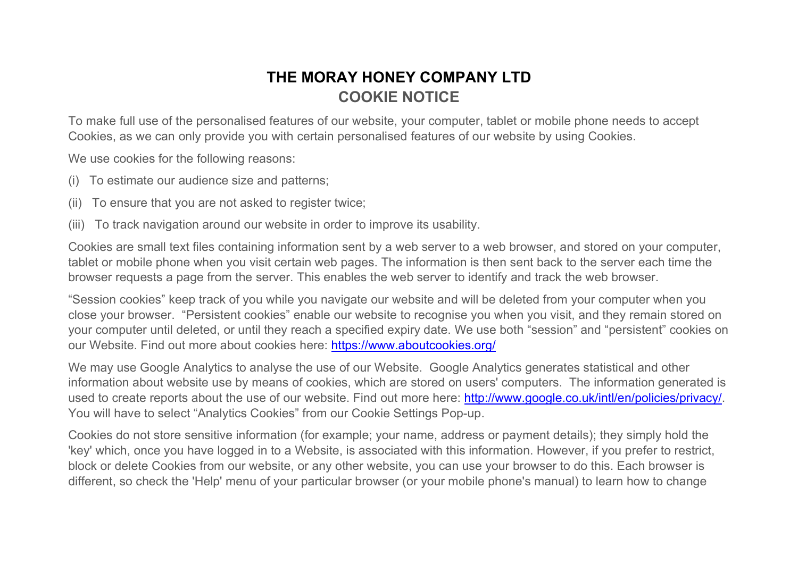## THE MORAY HONEY COMPANY LTD COOKIE NOTICE

To make full use of the personalised features of our website, your computer, tablet or mobile phone needs to accept Cookies, as we can only provide you with certain personalised features of our website by using Cookies.

We use cookies for the following reasons:

- (i) To estimate our audience size and patterns;
- (ii) To ensure that you are not asked to register twice;
- (iii) To track navigation around our website in order to improve its usability.

Cookies are small text files containing information sent by a web server to a web browser, and stored on your computer, tablet or mobile phone when you visit certain web pages. The information is then sent back to the server each time the browser requests a page from the server. This enables the web server to identify and track the web browser.

"Session cookies" keep track of you while you navigate our website and will be deleted from your computer when you close your browser. "Persistent cookies" enable our website to recognise you when you visit, and they remain stored on your computer until deleted, or until they reach a specified expiry date. We use both "session" and "persistent" cookies on our Website. Find out more about cookies here: https://www.aboutcookies.org/

We may use Google Analytics to analyse the use of our Website. Google Analytics generates statistical and other information about website use by means of cookies, which are stored on users' computers. The information generated is used to create reports about the use of our website. Find out more here: http://www.google.co.uk/intl/en/policies/privacy/. You will have to select "Analytics Cookies" from our Cookie Settings Pop-up.

Cookies do not store sensitive information (for example; your name, address or payment details); they simply hold the 'key' which, once you have logged in to a Website, is associated with this information. However, if you prefer to restrict, block or delete Cookies from our website, or any other website, you can use your browser to do this. Each browser is different, so check the 'Help' menu of your particular browser (or your mobile phone's manual) to learn how to change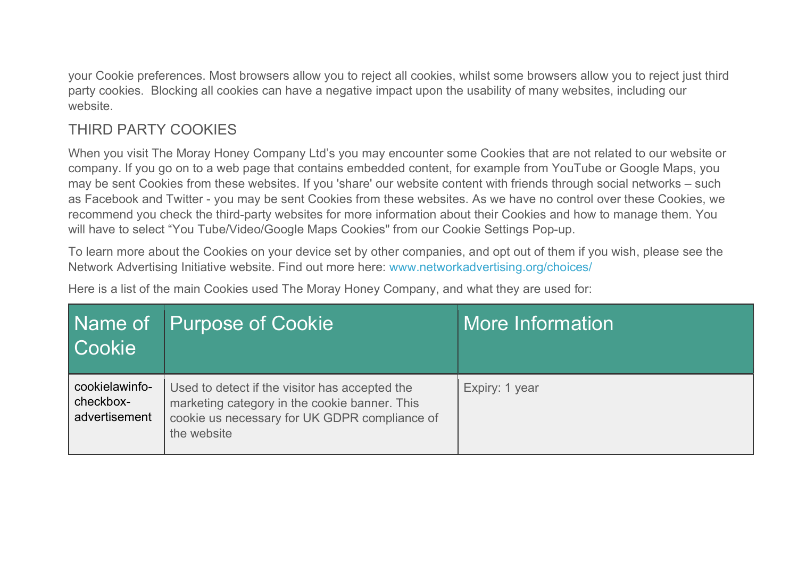your Cookie preferences. Most browsers allow you to reject all cookies, whilst some browsers allow you to reject just third party cookies. Blocking all cookies can have a negative impact upon the usability of many websites, including our website.

## THIRD PARTY COOKIES

When you visit The Moray Honey Company Ltd's you may encounter some Cookies that are not related to our website or company. If you go on to a web page that contains embedded content, for example from YouTube or Google Maps, you may be sent Cookies from these websites. If you 'share' our website content with friends through social networks – such as Facebook and Twitter - you may be sent Cookies from these websites. As we have no control over these Cookies, we recommend you check the third-party websites for more information about their Cookies and how to manage them. You will have to select "You Tube/Video/Google Maps Cookies" from our Cookie Settings Pop-up.

To learn more about the Cookies on your device set by other companies, and opt out of them if you wish, please see the Network Advertising Initiative website. Find out more here: www.networkadvertising.org/choices/

Here is a list of the main Cookies used The Moray Honey Company, and what they are used for:

| <b>Cookie</b>                                | Name of Purpose of Cookie                                                                                                                                       | More Information |
|----------------------------------------------|-----------------------------------------------------------------------------------------------------------------------------------------------------------------|------------------|
| cookielawinfo-<br>checkbox-<br>advertisement | Used to detect if the visitor has accepted the<br>marketing category in the cookie banner. This<br>cookie us necessary for UK GDPR compliance of<br>the website | Expiry: 1 year   |